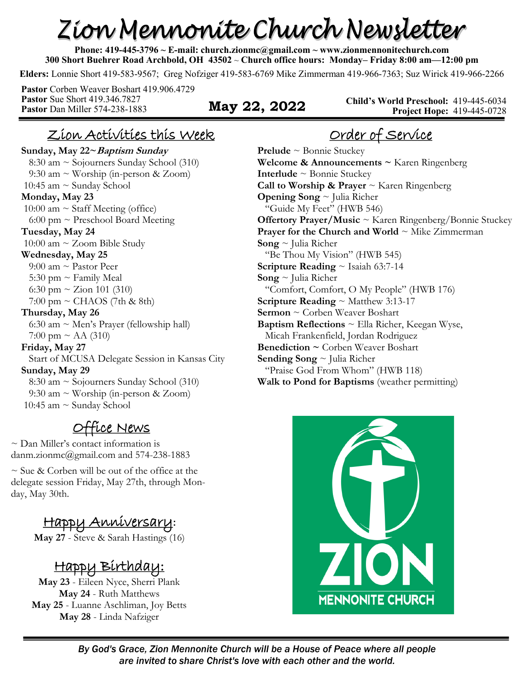# Zion Mennonite Church Newsletter

**Phone: 419-445-3796 ~ E-mail: church.zionmc@gmail.com ~ www.zionmennonitechurch.com 300 Short Buehrer Road Archbold, OH 43502** ~ **Church office hours: Monday– Friday 8:00 am—12:00 pm** 

**Elders:** Lonnie Short 419-583-9567; Greg Nofziger 419-583-6769 Mike Zimmerman 419-966-7363; Suz Wirick 419-966-2266

**Pastor** Corben Weaver Boshart 419.906.4729 **Pastor** Sue Short 419.346.7827 **Pastor** Dan Miller 574-238-1883 **May 22, 2022** 

**Child's World Preschool:** 419-445-6034 **Project Hope:** 419-445-0728

#### Zion Activities this Week

**Sunday, May 22~Baptism Sunday** 8:30 am ~ Sojourners Sunday School (310) 9:30 am ~ Worship (in-person & Zoom) 10:45 am ~ Sunday School **Monday, May 23**  10:00 am  $\sim$  Staff Meeting (office)  $6:00$  pm  $\sim$  Preschool Board Meeting **Tuesday, May 24** 10:00 am ~ Zoom Bible Study **Wednesday, May 25** 9:00 am ~ Pastor Peer 5:30 pm  $\sim$  Family Meal 6:30 pm  $\sim$  Zion 101 (310)  $7:00 \text{ pm} \sim \text{CHAOS}$  (7th & 8th) **Thursday, May 26** 6:30 am  $\sim$  Men's Prayer (fellowship hall) 7:00 pm  $\sim$  AA (310) **Friday, May 27** Start of MCUSA Delegate Session in Kansas City **Sunday, May 29** 8:30 am ~ Sojourners Sunday School (310) 9:30 am ~ Worship (in-person & Zoom) 10:45 am ~ Sunday School

## Office News

~ Dan Miller's contact information is danm.zionmc@gmail.com and 574-238-1883

~ Sue & Corben will be out of the office at the delegate session Friday, May 27th, through Monday, May 30th.

## Happy Anniversary**:**

**May 27** - Steve & Sarah Hastings (16)

# Happy Birthday:

**May 23** - Eileen Nyce, Sherri Plank **May 24** - Ruth Matthews **May 25** - Luanne Aschliman, Joy Betts **May 28** - Linda Nafziger

# Order of Service

**Prelude** ~ Bonnie Stuckey **Welcome & Announcements ~** Karen Ringenberg **Interlude** ~ Bonnie Stuckey **Call to Worship & Prayer** ~ Karen Ringenberg **Opening Song** ~ Julia Richer "Guide My Feet" (HWB 546) **Offertory Prayer/Music** ~ Karen Ringenberg/Bonnie Stuckey **Prayer for the Church and World**  $\sim$  **Mike Zimmerman Song** ~ Julia Richer "Be Thou My Vision" (HWB 545) **Scripture Reading** ~ Isaiah 63:7-14 **Song** ~ Julia Richer "Comfort, Comfort, O My People" (HWB 176) **Scripture Reading** ~ Matthew 3:13-17 **Sermon** ~ Corben Weaver Boshart **Baptism Reflections** ~ Ella Richer, Keegan Wyse, Micah Frankenfield, Jordan Rodriguez **Benediction ~** Corben Weaver Boshart **Sending Song** ~ Julia Richer "Praise God From Whom" (HWB 118) **Walk to Pond for Baptisms** (weather permitting)

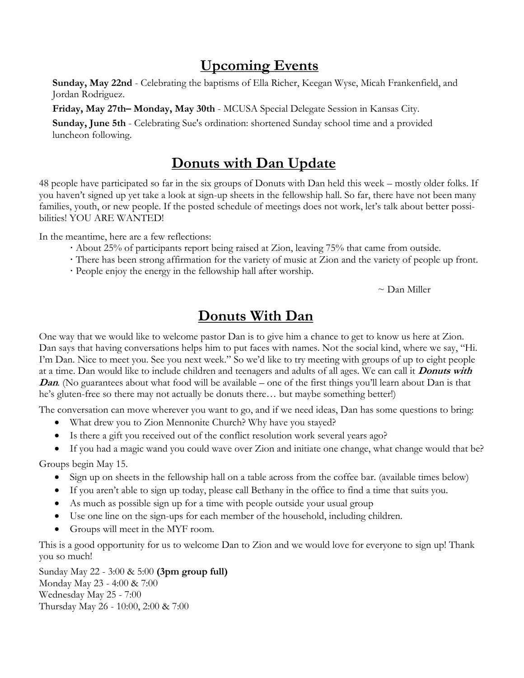#### **Upcoming Events**

**Sunday, May 22nd** - Celebrating the baptisms of Ella Richer, Keegan Wyse, Micah Frankenfield, and Jordan Rodriguez.

**Friday, May 27th– Monday, May 30th** - MCUSA Special Delegate Session in Kansas City.

**Sunday, June 5th** - Celebrating Sue's ordination: shortened Sunday school time and a provided luncheon following.

#### **Donuts with Dan Update**

48 people have participated so far in the six groups of Donuts with Dan held this week – mostly older folks. If you haven't signed up yet take a look at sign-up sheets in the fellowship hall. So far, there have not been many families, youth, or new people. If the posted schedule of meetings does not work, let's talk about better possibilities! YOU ARE WANTED!

In the meantime, here are a few reflections:

- **·** About 25% of participants report being raised at Zion, leaving 75% that came from outside.
- **·** There has been strong affirmation for the variety of music at Zion and the variety of people up front.
- **·** People enjoy the energy in the fellowship hall after worship.

 $\sim$  Dan Miller

#### **Donuts With Dan**

One way that we would like to welcome pastor Dan is to give him a chance to get to know us here at Zion. Dan says that having conversations helps him to put faces with names. Not the social kind, where we say, "Hi. I'm Dan. Nice to meet you. See you next week." So we'd like to try meeting with groups of up to eight people at a time. Dan would like to include children and teenagers and adults of all ages. We can call it **Donuts with Dan.** (No guarantees about what food will be available – one of the first things you'll learn about Dan is that he's gluten-free so there may not actually be donuts there… but maybe something better!)

The conversation can move wherever you want to go, and if we need ideas, Dan has some questions to bring:

- What drew you to Zion Mennonite Church? Why have you stayed?
- Is there a gift you received out of the conflict resolution work several years ago?
- If you had a magic wand you could wave over Zion and initiate one change, what change would that be?

Groups begin May 15.

- Sign up on sheets in the fellowship hall on a table across from the coffee bar. (available times below)
- If you aren't able to sign up today, please call Bethany in the office to find a time that suits you.
- As much as possible sign up for a time with people outside your usual group
- Use one line on the sign-ups for each member of the household, including children.
- Groups will meet in the MYF room.

This is a good opportunity for us to welcome Dan to Zion and we would love for everyone to sign up! Thank you so much!

Sunday May 22 - 3:00 & 5:00 **(3pm group full)** Monday May 23 - 4:00 & 7:00 Wednesday May 25 - 7:00 Thursday May 26 - 10:00, 2:00 & 7:00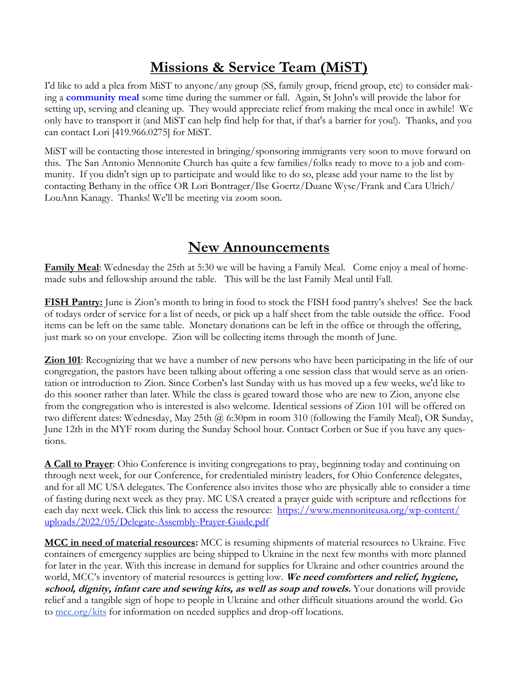#### **Missions & Service Team (MiST)**

I'd like to add a plea from MiST to anyone/any group (SS, family group, friend group, etc) to consider making a **community meal** some time during the summer or fall. Again, St John's will provide the labor for setting up, serving and cleaning up. They would appreciate relief from making the meal once in awhile! We only have to transport it (and MiST can help find help for that, if that's a barrier for you!). Thanks, and you can contact Lori [419.966.0275] for MiST.

MiST will be contacting those interested in bringing/sponsoring immigrants very soon to move forward on this. The San Antonio Mennonite Church has quite a few families/folks ready to move to a job and community. If you didn't sign up to participate and would like to do so, please add your name to the list by contacting Bethany in the office OR Lori Bontrager/Ilse Goertz/Duane Wyse/Frank and Cara Ulrich/ LouAnn Kanagy. Thanks! We'll be meeting via zoom soon.

#### **New Announcements**

**Family Meal**: Wednesday the 25th at 5:30 we will be having a Family Meal. Come enjoy a meal of homemade subs and fellowship around the table. This will be the last Family Meal until Fall.

**FISH Pantry:** June is Zion's month to bring in food to stock the FISH food pantry's shelves! See the back of todays order of service for a list of needs, or pick up a half sheet from the table outside the office. Food items can be left on the same table. Monetary donations can be left in the office or through the offering, just mark so on your envelope. Zion will be collecting items through the month of June.

**Zion 101**: Recognizing that we have a number of new persons who have been participating in the life of our congregation, the pastors have been talking about offering a one session class that would serve as an orientation or introduction to Zion. Since Corben's last Sunday with us has moved up a few weeks, we'd like to do this sooner rather than later. While the class is geared toward those who are new to Zion, anyone else from the congregation who is interested is also welcome. Identical sessions of Zion 101 will be offered on two different dates: Wednesday, May 25th @ 6:30pm in room 310 (following the Family Meal), OR Sunday, June 12th in the MYF room during the Sunday School hour. Contact Corben or Sue if you have any questions.

**A Call to Prayer**: Ohio Conference is inviting congregations to pray, beginning today and continuing on through next week, for our Conference, for credentialed ministry leaders, for Ohio Conference delegates, and for all MC USA delegates. The Conference also invites those who are physically able to consider a time of fasting during next week as they pray. MC USA created a prayer guide with scripture and reflections for each day next week. Click this link to access the resource: [https://www.mennoniteusa.org/wp-content/](https://www.mennoniteusa.org/wp-content/uploads/2022/05/Delegate-Assembly-Prayer-Guide.pdf) [uploads/2022/05/Delegate-Assembly-Prayer-Guide.pdf](https://www.mennoniteusa.org/wp-content/uploads/2022/05/Delegate-Assembly-Prayer-Guide.pdf)

**MCC in need of material resources:** MCC is resuming shipments of material resources to Ukraine. Five containers of emergency supplies are being shipped to Ukraine in the next few months with more planned for later in the year. With this increase in demand for supplies for Ukraine and other countries around the world, MCC's inventory of material resources is getting low. **We need comforters and relief, hygiene, school, dignity, infant care and sewing kits, as well as soap and towels.** Your donations will provide relief and a tangible sign of hope to people in Ukraine and other difficult situations around the world. Go to [mcc.org/kits](https://mcc.org/get-involved/kits) for information on needed supplies and drop-off locations.